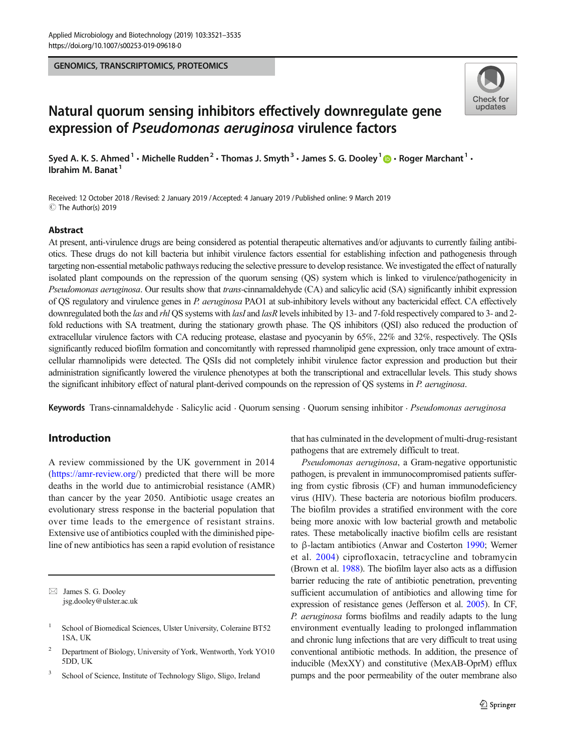GENOMICS, TRANSCRIPTOMICS, PROTEOMICS



# Natural quorum sensing inhibitors effectively downregulate gene expression of Pseudomonas aeruginosa virulence factors

Syed A. K. S. Ahmed<sup>1</sup> • Michelle Rudden<sup>2</sup> • Thomas J. Smyth<sup>3</sup> • James S. G. Dooley<sup>1</sup>  $\cdot$  Roger Marchant<sup>1</sup> • Ibrahim M. Banat<sup>1</sup>

Received: 12 October 2018 / Revised: 2 January 2019 /Accepted: 4 January 2019 /Published online: 9 March 2019 © The Author(s) 2019

#### Abstract

At present, anti-virulence drugs are being considered as potential therapeutic alternatives and/or adjuvants to currently failing antibiotics. These drugs do not kill bacteria but inhibit virulence factors essential for establishing infection and pathogenesis through targeting non-essential metabolic pathways reducing the selective pressure to develop resistance. We investigated the effect of naturally isolated plant compounds on the repression of the quorum sensing (QS) system which is linked to virulence/pathogenicity in Pseudomonas aeruginosa. Our results show that trans-cinnamaldehyde (CA) and salicylic acid (SA) significantly inhibit expression of QS regulatory and virulence genes in P. aeruginosa PAO1 at sub-inhibitory levels without any bactericidal effect. CA effectively downregulated both the *las* and *rhl* QS systems with *lasI* and *lasR* levels inhibited by 13- and 7-fold respectively compared to 3- and 2fold reductions with SA treatment, during the stationary growth phase. The QS inhibitors (QSI) also reduced the production of extracellular virulence factors with CA reducing protease, elastase and pyocyanin by 65%, 22% and 32%, respectively. The QSIs significantly reduced biofilm formation and concomitantly with repressed rhamnolipid gene expression, only trace amount of extracellular rhamnolipids were detected. The QSIs did not completely inhibit virulence factor expression and production but their administration significantly lowered the virulence phenotypes at both the transcriptional and extracellular levels. This study shows the significant inhibitory effect of natural plant-derived compounds on the repression of QS systems in P. aeruginosa.

Keywords Trans-cinnamaldehyde · Salicylic acid · Quorum sensing · Quorum sensing inhibitor · Pseudomonas aeruginosa

## Introduction

A review commissioned by the UK government in 2014 [\(https://amr-review.org/](https://amr-review.org)) predicted that there will be more deaths in the world due to antimicrobial resistance (AMR) than cancer by the year 2050. Antibiotic usage creates an evolutionary stress response in the bacterial population that over time leads to the emergence of resistant strains. Extensive use of antibiotics coupled with the diminished pipeline of new antibiotics has seen a rapid evolution of resistance

 $\boxtimes$  James S. G. Dooley [jsg.dooley@ulster.ac.uk](mailto:jsg.dooley@ulster.ac.uk)

- <sup>2</sup> Department of Biology, University of York, Wentworth, York YO10 5DD, UK
- <sup>3</sup> School of Science, Institute of Technology Sligo, Sligo, Ireland

that has culminated in the development of multi-drug-resistant pathogens that are extremely difficult to treat.

Pseudomonas aeruginosa, a Gram-negative opportunistic pathogen, is prevalent in immunocompromised patients suffering from cystic fibrosis (CF) and human immunodeficiency virus (HIV). These bacteria are notorious biofilm producers. The biofilm provides a stratified environment with the core being more anoxic with low bacterial growth and metabolic rates. These metabolically inactive biofilm cells are resistant to β-lactam antibiotics (Anwar and Costerton [1990;](#page-12-0) Werner et al. [2004](#page-14-0)) ciprofloxacin, tetracycline and tobramycin (Brown et al. [1988\)](#page-12-0). The biofilm layer also acts as a diffusion barrier reducing the rate of antibiotic penetration, preventing sufficient accumulation of antibiotics and allowing time for expression of resistance genes (Jefferson et al. [2005](#page-13-0)). In CF, P. aeruginosa forms biofilms and readily adapts to the lung environment eventually leading to prolonged inflammation and chronic lung infections that are very difficult to treat using conventional antibiotic methods. In addition, the presence of inducible (MexXY) and constitutive (MexAB-OprM) efflux pumps and the poor permeability of the outer membrane also

<sup>&</sup>lt;sup>1</sup> School of Biomedical Sciences, Ulster University, Coleraine BT52 1SA, UK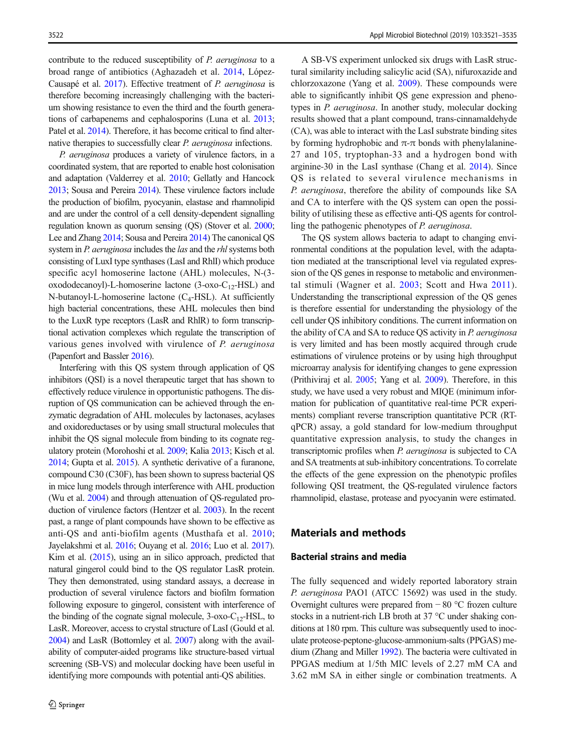contribute to the reduced susceptibility of P. *aeruginosa* to a broad range of antibiotics (Aghazadeh et al. [2014](#page-12-0), López-Causapé et al. [2017\)](#page-13-0). Effective treatment of P. aeruginosa is therefore becoming increasingly challenging with the bacterium showing resistance to even the third and the fourth generations of carbapenems and cephalosporins (Luna et al. [2013](#page-13-0); Patel et al. [2014](#page-13-0)). Therefore, it has become critical to find alternative therapies to successfully clear *P. aeruginosa* infections.

P. aeruginosa produces a variety of virulence factors, in a coordinated system, that are reported to enable host colonisation and adaptation (Valderrey et al. [2010](#page-13-0); Gellatly and Hancock [2013;](#page-13-0) Sousa and Pereira [2014](#page-13-0)). These virulence factors include the production of biofilm, pyocyanin, elastase and rhamnolipid and are under the control of a cell density-dependent signalling regulation known as quorum sensing (QS) (Stover et al. [2000](#page-13-0); Lee and Zhang [2014](#page-13-0); Sousa and Pereira [2014](#page-13-0)) The canonical QS system in P. aeruginosa includes the las and the rhl systems both consisting of LuxI type synthases (LasI and RhlI) which produce specific acyl homoserine lactone (AHL) molecules, N-(3 oxododecanoyl)-L-homoserine lactone  $(3$ -oxo-C<sub>12</sub>-HSL) and N-butanoyl-L-homoserine lactone  $(C_4$ -HSL). At sufficiently high bacterial concentrations, these AHL molecules then bind to the LuxR type receptors (LasR and RhlR) to form transcriptional activation complexes which regulate the transcription of various genes involved with virulence of P. aeruginosa (Papenfort and Bassler [2016\)](#page-13-0).

Interfering with this QS system through application of QS inhibitors (QSI) is a novel therapeutic target that has shown to effectively reduce virulence in opportunistic pathogens. The disruption of QS communication can be achieved through the enzymatic degradation of AHL molecules by lactonases, acylases and oxidoreductases or by using small structural molecules that inhibit the QS signal molecule from binding to its cognate regulatory protein (Morohoshi et al. [2009;](#page-13-0) Kalia [2013;](#page-13-0) Kisch et al. [2014](#page-13-0); Gupta et al. [2015\)](#page-13-0). A synthetic derivative of a furanone, compound C30 (C30F), has been shown to supress bacterial QS in mice lung models through interference with AHL production (Wu et al. [2004](#page-14-0)) and through attenuation of QS-regulated production of virulence factors (Hentzer et al. [2003](#page-13-0)). In the recent past, a range of plant compounds have shown to be effective as anti-QS and anti-biofilm agents (Musthafa et al. [2010](#page-13-0); Jayelakshmi et al. [2016;](#page-13-0) Ouyang et al. [2016;](#page-13-0) Luo et al. [2017\)](#page-13-0). Kim et al. [\(2015](#page-13-0)), using an in silico approach, predicted that natural gingerol could bind to the QS regulator LasR protein. They then demonstrated, using standard assays, a decrease in production of several virulence factors and biofilm formation following exposure to gingerol, consistent with interference of the binding of the cognate signal molecule,  $3$ -oxo-C<sub>12</sub>-HSL, to LasR. Moreover, access to crystal structure of LasI (Gould et al. [2004](#page-13-0)) and LasR (Bottomley et al. [2007](#page-12-0)) along with the availability of computer-aided programs like structure-based virtual screening (SB-VS) and molecular docking have been useful in identifying more compounds with potential anti-QS abilities.

A SB-VS experiment unlocked six drugs with LasR structural similarity including salicylic acid (SA), nifuroxazide and chlorzoxazone (Yang et al. [2009\)](#page-14-0). These compounds were able to significantly inhibit QS gene expression and phenotypes in P. aeruginosa. In another study, molecular docking results showed that a plant compound, trans-cinnamaldehyde (CA), was able to interact with the LasI substrate binding sites by forming hydrophobic and  $\pi$ -π bonds with phenylalanine-27 and 105, tryptophan-33 and a hydrogen bond with arginine-30 in the LasI synthase (Chang et al. [2014\)](#page-12-0). Since QS is related to several virulence mechanisms in P. aeruginosa, therefore the ability of compounds like SA and CA to interfere with the QS system can open the possibility of utilising these as effective anti-QS agents for controlling the pathogenic phenotypes of P. aeruginosa.

The QS system allows bacteria to adapt to changing environmental conditions at the population level, with the adaptation mediated at the transcriptional level via regulated expression of the QS genes in response to metabolic and environmental stimuli (Wagner et al. [2003;](#page-13-0) Scott and Hwa [2011](#page-13-0)). Understanding the transcriptional expression of the QS genes is therefore essential for understanding the physiology of the cell under QS inhibitory conditions. The current information on the ability of CA and SA to reduce QS activity in P. aeruginosa is very limited and has been mostly acquired through crude estimations of virulence proteins or by using high throughput microarray analysis for identifying changes to gene expression (Prithiviraj et al. [2005;](#page-13-0) Yang et al. [2009\)](#page-14-0). Therefore, in this study, we have used a very robust and MIQE (minimum information for publication of quantitative real-time PCR experiments) compliant reverse transcription quantitative PCR (RTqPCR) assay, a gold standard for low-medium throughput quantitative expression analysis, to study the changes in transcriptomic profiles when P. aeruginosa is subjected to CA and SA treatments at sub-inhibitory concentrations. To correlate the effects of the gene expression on the phenotypic profiles following QSI treatment, the QS-regulated virulence factors rhamnolipid, elastase, protease and pyocyanin were estimated.

## Materials and methods

## Bacterial strains and media

The fully sequenced and widely reported laboratory strain P. aeruginosa PAO1 (ATCC 15692) was used in the study. Overnight cultures were prepared from − 80 °C frozen culture stocks in a nutrient-rich LB broth at 37 °C under shaking conditions at 180 rpm. This culture was subsequently used to inoculate proteose-peptone-glucose-ammonium-salts (PPGAS) medium (Zhang and Miller [1992](#page-14-0)). The bacteria were cultivated in PPGAS medium at 1/5th MIC levels of 2.27 mM CA and 3.62 mM SA in either single or combination treatments. A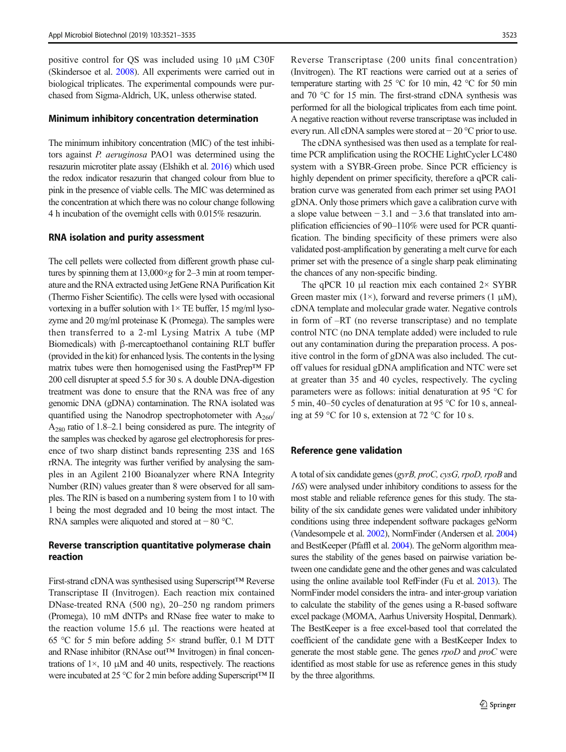positive control for QS was included using 10 μM C30F (Skindersoe et al. [2008](#page-13-0)). All experiments were carried out in biological triplicates. The experimental compounds were purchased from Sigma-Aldrich, UK, unless otherwise stated.

#### Minimum inhibitory concentration determination

The minimum inhibitory concentration (MIC) of the test inhibitors against P. aeruginosa PAO1 was determined using the resazurin microtiter plate assay (Elshikh et al. [2016\)](#page-12-0) which used the redox indicator resazurin that changed colour from blue to pink in the presence of viable cells. The MIC was determined as the concentration at which there was no colour change following 4 h incubation of the overnight cells with 0.015% resazurin.

#### RNA isolation and purity assessment

The cell pellets were collected from different growth phase cultures by spinning them at  $13,000 \times g$  for 2–3 min at room temperature and the RNA extracted using JetGene RNA Purification Kit (Thermo Fisher Scientific). The cells were lysed with occasional vortexing in a buffer solution with  $1 \times TE$  buffer, 15 mg/ml lysozyme and 20 mg/ml proteinase K (Promega). The samples were then transferred to a 2-ml Lysing Matrix A tube (MP Biomedicals) with β-mercaptoethanol containing RLT buffer (provided in the kit) for enhanced lysis. The contents in the lysing matrix tubes were then homogenised using the FastPrep™ FP 200 cell disrupter at speed 5.5 for 30 s. A double DNA-digestion treatment was done to ensure that the RNA was free of any genomic DNA (gDNA) contamination. The RNA isolated was quantified using the Nanodrop spectrophotometer with  $A_{260}$ A280 ratio of 1.8–2.1 being considered as pure. The integrity of the samples was checked by agarose gel electrophoresis for presence of two sharp distinct bands representing 23S and 16S rRNA. The integrity was further verified by analysing the samples in an Agilent 2100 Bioanalyzer where RNA Integrity Number (RIN) values greater than 8 were observed for all samples. The RIN is based on a numbering system from 1 to 10 with 1 being the most degraded and 10 being the most intact. The RNA samples were aliquoted and stored at − 80 °C.

## Reverse transcription quantitative polymerase chain reaction

First-strand cDNA was synthesised using Superscript™ Reverse Transcriptase II (Invitrogen). Each reaction mix contained DNase-treated RNA (500 ng), 20–250 ng random primers (Promega), 10 mM dNTPs and RNase free water to make to the reaction volume 15.6 μl. The reactions were heated at 65 °C for 5 min before adding 5× strand buffer, 0.1 M DTT and RNase inhibitor (RNAse out™ Invitrogen) in final concentrations of  $1\times$ , 10  $\mu$ M and 40 units, respectively. The reactions were incubated at 25 °C for 2 min before adding Superscript™ II

Reverse Transcriptase (200 units final concentration) (Invitrogen). The RT reactions were carried out at a series of temperature starting with 25 °C for 10 min, 42 °C for 50 min and 70 °C for 15 min. The first-strand cDNA synthesis was performed for all the biological triplicates from each time point. A negative reaction without reverse transcriptase was included in every run. All cDNA samples were stored at − 20 °C prior to use.

The cDNA synthesised was then used as a template for realtime PCR amplification using the ROCHE LightCycler LC480 system with a SYBR-Green probe. Since PCR efficiency is highly dependent on primer specificity, therefore a qPCR calibration curve was generated from each primer set using PAO1 gDNA. Only those primers which gave a calibration curve with a slope value between  $-3.1$  and  $-3.6$  that translated into amplification efficiencies of 90–110% were used for PCR quantification. The binding specificity of these primers were also validated post-amplification by generating a melt curve for each primer set with the presence of a single sharp peak eliminating the chances of any non-specific binding.

The qPCR 10  $\mu$ l reaction mix each contained 2× SYBR Green master mix (1 $\times$ ), forward and reverse primers (1  $\mu$ M), cDNA template and molecular grade water. Negative controls in form of –RT (no reverse transcriptase) and no template control NTC (no DNA template added) were included to rule out any contamination during the preparation process. A positive control in the form of gDNA was also included. The cutoff values for residual gDNA amplification and NTC were set at greater than 35 and 40 cycles, respectively. The cycling parameters were as follows: initial denaturation at 95 °C for 5 min, 40–50 cycles of denaturation at 95 °C for 10 s, annealing at 59 °C for 10 s, extension at 72 °C for 10 s.

#### Reference gene validation

A total of six candidate genes (gyrB, proC, cysG, rpoD, rpoB and 16S) were analysed under inhibitory conditions to assess for the most stable and reliable reference genes for this study. The stability of the six candidate genes were validated under inhibitory conditions using three independent software packages geNorm (Vandesompele et al. [2002\)](#page-13-0), NormFinder (Andersen et al. [2004](#page-12-0)) and BestKeeper (Pfaffl et al. [2004\)](#page-13-0). The geNorm algorithm measures the stability of the genes based on pairwise variation between one candidate gene and the other genes and was calculated using the online available tool RefFinder (Fu et al. [2013](#page-13-0)). The NormFinder model considers the intra- and inter-group variation to calculate the stability of the genes using a R-based software excel package (MOMA, Aarhus University Hospital, Denmark). The BestKeeper is a free excel-based tool that correlated the coefficient of the candidate gene with a BestKeeper Index to generate the most stable gene. The genes rpoD and proC were identified as most stable for use as reference genes in this study by the three algorithms.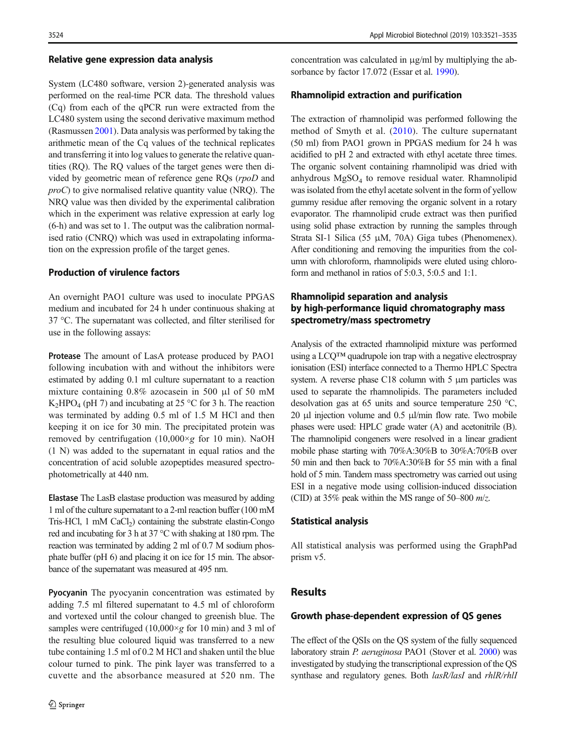#### Relative gene expression data analysis

System (LC480 software, version 2)-generated analysis was performed on the real-time PCR data. The threshold values (Cq) from each of the qPCR run were extracted from the LC480 system using the second derivative maximum method (Rasmussen [2001](#page-13-0)). Data analysis was performed by taking the arithmetic mean of the Cq values of the technical replicates and transferring it into log values to generate the relative quantities (RQ). The RQ values of the target genes were then divided by geometric mean of reference gene RQs (rpoD and  $proC$ ) to give normalised relative quantity value (NRQ). The NRQ value was then divided by the experimental calibration which in the experiment was relative expression at early log (6-h) and was set to 1. The output was the calibration normalised ratio (CNRQ) which was used in extrapolating information on the expression profile of the target genes.

#### Production of virulence factors

An overnight PAO1 culture was used to inoculate PPGAS medium and incubated for 24 h under continuous shaking at 37 °C. The supernatant was collected, and filter sterilised for use in the following assays:

Protease The amount of LasA protease produced by PAO1 following incubation with and without the inhibitors were estimated by adding 0.1 ml culture supernatant to a reaction mixture containing 0.8% azocasein in 500 μl of 50 mM  $K_2HPO_4$  (pH 7) and incubating at 25 °C for 3 h. The reaction was terminated by adding 0.5 ml of 1.5 M HCl and then keeping it on ice for 30 min. The precipitated protein was removed by centrifugation  $(10,000 \times g)$  for 10 min). NaOH (1 N) was added to the supernatant in equal ratios and the concentration of acid soluble azopeptides measured spectrophotometrically at 440 nm.

Elastase The LasB elastase production was measured by adding 1 ml of the culture supernatant to a 2-ml reaction buffer (100 mM Tris-HCl,  $1 \text{ mM } CaCl<sub>2</sub>$ ) containing the substrate elastin-Congo red and incubating for 3 h at 37 °C with shaking at 180 rpm. The reaction was terminated by adding 2 ml of 0.7 M sodium phosphate buffer (pH 6) and placing it on ice for 15 min. The absorbance of the supernatant was measured at 495 nm.

Pyocyanin The pyocyanin concentration was estimated by adding 7.5 ml filtered supernatant to 4.5 ml of chloroform and vortexed until the colour changed to greenish blue. The samples were centrifuged  $(10,000\times g$  for 10 min) and 3 ml of the resulting blue coloured liquid was transferred to a new tube containing 1.5 ml of 0.2 M HCl and shaken until the blue colour turned to pink. The pink layer was transferred to a cuvette and the absorbance measured at 520 nm. The

concentration was calculated in μg/ml by multiplying the absorbance by factor 17.072 (Essar et al. [1990\)](#page-12-0).

#### Rhamnolipid extraction and purification

The extraction of rhamnolipid was performed following the method of Smyth et al. ([2010](#page-13-0)). The culture supernatant (50 ml) from PAO1 grown in PPGAS medium for 24 h was acidified to pH 2 and extracted with ethyl acetate three times. The organic solvent containing rhamnolipid was dried with anhydrous MgSO4 to remove residual water. Rhamnolipid was isolated from the ethyl acetate solvent in the form of yellow gummy residue after removing the organic solvent in a rotary evaporator. The rhamnolipid crude extract was then purified using solid phase extraction by running the samples through Strata SI-1 Silica (55 μM, 70A) Giga tubes (Phenomenex). After conditioning and removing the impurities from the column with chloroform, rhamnolipids were eluted using chloroform and methanol in ratios of 5:0.3, 5:0.5 and 1:1.

# Rhamnolipid separation and analysis by high-performance liquid chromatography mass spectrometry/mass spectrometry

Analysis of the extracted rhamnolipid mixture was performed using a LCQ™ quadrupole ion trap with a negative electrospray ionisation (ESI) interface connected to a Thermo HPLC Spectra system. A reverse phase C18 column with 5 μm particles was used to separate the rhamnolipids. The parameters included desolvation gas at 65 units and source temperature 250 °C, 20 μl injection volume and 0.5 μl/min flow rate. Two mobile phases were used: HPLC grade water (A) and acetonitrile (B). The rhamnolipid congeners were resolved in a linear gradient mobile phase starting with 70%A:30%B to 30%A:70%B over 50 min and then back to 70%A:30%B for 55 min with a final hold of 5 min. Tandem mass spectrometry was carried out using ESI in a negative mode using collision-induced dissociation (CID) at 35% peak within the MS range of 50–800  $m/z$ .

### Statistical analysis

All statistical analysis was performed using the GraphPad prism v5.

## Results

### Growth phase-dependent expression of QS genes

The effect of the QSIs on the QS system of the fully sequenced laboratory strain P. aeruginosa PAO1 (Stover et al. [2000](#page-13-0)) was investigated by studying the transcriptional expression of the QS synthase and regulatory genes. Both lasR/lasI and rhlR/rhlI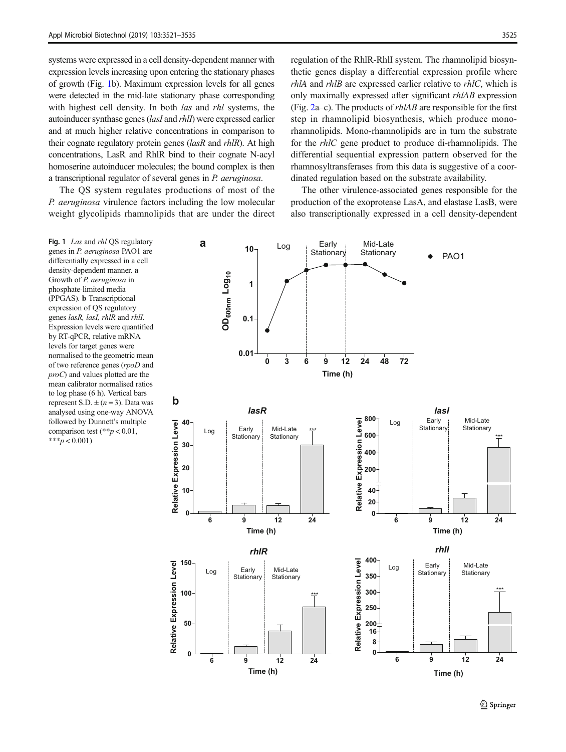<span id="page-4-0"></span>systems were expressed in a cell density-dependent manner with expression levels increasing upon entering the stationary phases of growth (Fig. 1b). Maximum expression levels for all genes were detected in the mid-late stationary phase corresponding with highest cell density. In both *las* and *rhl* systems, the autoinducer synthase genes (lasI and rhlI) were expressed earlier and at much higher relative concentrations in comparison to their cognate regulatory protein genes (lasR and rhlR). At high concentrations, LasR and RhlR bind to their cognate N-acyl homoserine autoinducer molecules; the bound complex is then a transcriptional regulator of several genes in P. aeruginosa.

The QS system regulates productions of most of the P. aeruginosa virulence factors including the low molecular weight glycolipids rhamnolipids that are under the direct regulation of the RhlR-RhlI system. The rhamnolipid biosynthetic genes display a differential expression profile where rhlA and rhlB are expressed earlier relative to rhlC, which is only maximally expressed after significant rhlAB expression (Fig. [2a](#page-5-0)–c). The products of  $rh$  are responsible for the first step in rhamnolipid biosynthesis, which produce monorhamnolipids. Mono-rhamnolipids are in turn the substrate for the rhlC gene product to produce di-rhamnolipids. The differential sequential expression pattern observed for the rhamnosyltransferases from this data is suggestive of a coordinated regulation based on the substrate availability.

The other virulence-associated genes responsible for the production of the exoprotease LasA, and elastase LasB, were also transcriptionally expressed in a cell density-dependent

Fig. 1 Las and rhl QS regulatory genes in P. aeruginosa PAO1 are differentially expressed in a cell density-dependent manner. a Growth of P. aeruginosa in phosphate-limited media (PPGAS). b Transcriptional expression of QS regulatory genes lasR, lasI, rhlR and rhlI. Expression levels were quantified by RT-qPCR, relative mRNA levels for target genes were normalised to the geometric mean of two reference genes (rpoD and proC) and values plotted are the mean calibrator normalised ratios to log phase (6 h). Vertical bars represent S.D.  $\pm (n=3)$ . Data was analysed using one-way ANOVA followed by Dunnett's multiple comparison test (\*\* $p < 0.01$ , \*\*\* $p < 0.001$ )

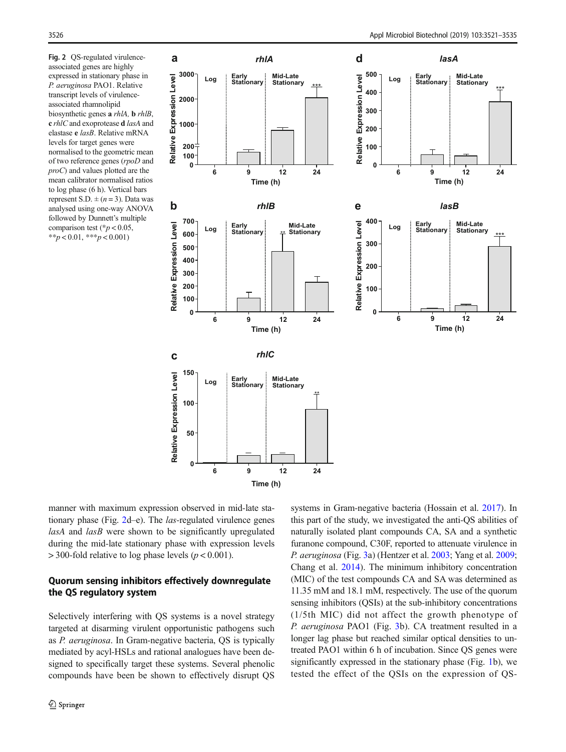<span id="page-5-0"></span>Fig. 2 QS-regulated virulenceassociated genes are highly expressed in stationary phase in P. aeruginosa PAO1. Relative transcript levels of virulenceassociated rhamnolipid biosynthetic genes a rhlA, b rhlB, c *rhlC* and exoprotease **d** lasA and elastase e lasB. Relative mRNA levels for target genes were normalised to the geometric mean of two reference genes (rpoD and proC) and values plotted are the mean calibrator normalised ratios to log phase (6 h). Vertical bars represent S.D.  $\pm (n=3)$ . Data was analysed using one-way ANOVA followed by Dunnett's multiple comparison test (\* $p < 0.05$ ,  $**p < 0.01, **p < 0.001$ 



manner with maximum expression observed in mid-late stationary phase (Fig. 2d–e). The las-regulated virulence genes lasA and lasB were shown to be significantly upregulated during the mid-late stationary phase with expression levels  $>$  300-fold relative to log phase levels ( $p$  < 0.001).

## Quorum sensing inhibitors effectively downregulate the QS regulatory system

Selectively interfering with QS systems is a novel strategy targeted at disarming virulent opportunistic pathogens such as P. aeruginosa. In Gram-negative bacteria, QS is typically mediated by acyl-HSLs and rational analogues have been designed to specifically target these systems. Several phenolic compounds have been be shown to effectively disrupt QS systems in Gram-negative bacteria (Hossain et al. [2017](#page-13-0)). In this part of the study, we investigated the anti-QS abilities of naturally isolated plant compounds CA, SA and a synthetic furanone compound, C30F, reported to attenuate virulence in P. aeruginosa (Fig. [3](#page-6-0)a) (Hentzer et al. [2003;](#page-13-0) Yang et al. [2009;](#page-14-0) Chang et al. [2014](#page-12-0)). The minimum inhibitory concentration (MIC) of the test compounds CA and SA was determined as 11.35 mM and 18.1 mM, respectively. The use of the quorum sensing inhibitors (QSIs) at the sub-inhibitory concentrations (1/5th MIC) did not affect the growth phenotype of P. aeruginosa PAO1 (Fig. [3b](#page-6-0)). CA treatment resulted in a longer lag phase but reached similar optical densities to untreated PAO1 within 6 h of incubation. Since QS genes were significantly expressed in the stationary phase (Fig. [1b](#page-4-0)), we tested the effect of the QSIs on the expression of QS-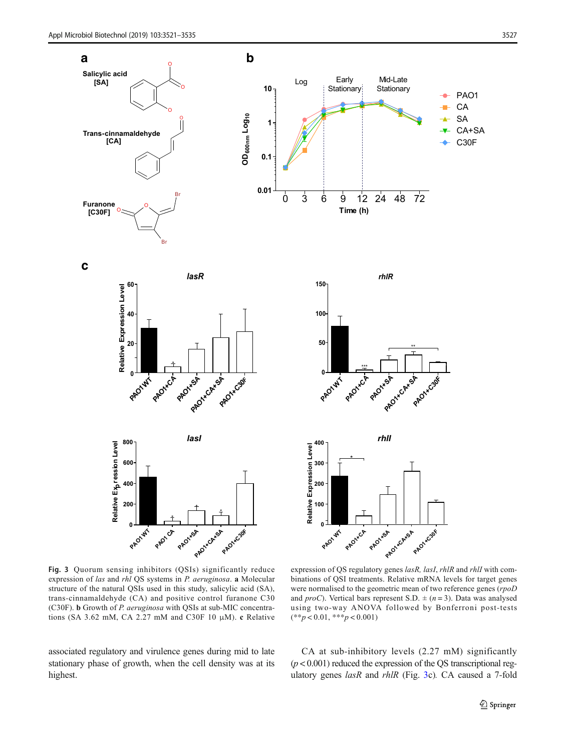<span id="page-6-0"></span>

Fig. 3 Quorum sensing inhibitors (QSIs) significantly reduce expression of las and rhl QS systems in P. aeruginosa. a Molecular structure of the natural QSIs used in this study, salicylic acid (SA), trans-cinnamaldehyde (CA) and positive control furanone C30 (C30F). b Growth of P. aeruginosa with QSIs at sub-MIC concentrations (SA 3.62 mM, CA 2.27 mM and C30F 10  $\mu$ M). c Relative

expression of QS regulatory genes lasR, lasI, rhlR and rhlI with combinations of QSI treatments. Relative mRNA levels for target genes were normalised to the geometric mean of two reference genes (rpoD) and *proC*). Vertical bars represent S.D.  $\pm (n=3)$ . Data was analysed using two-way ANOVA followed by Bonferroni post-tests  $(*p < 0.01, **p < 0.001)$ 

associated regulatory and virulence genes during mid to late stationary phase of growth, when the cell density was at its highest.

CA at sub-inhibitory levels (2.27 mM) significantly  $(p < 0.001)$  reduced the expression of the QS transcriptional regulatory genes  $lasR$  and rhlR (Fig. 3c). CA caused a 7-fold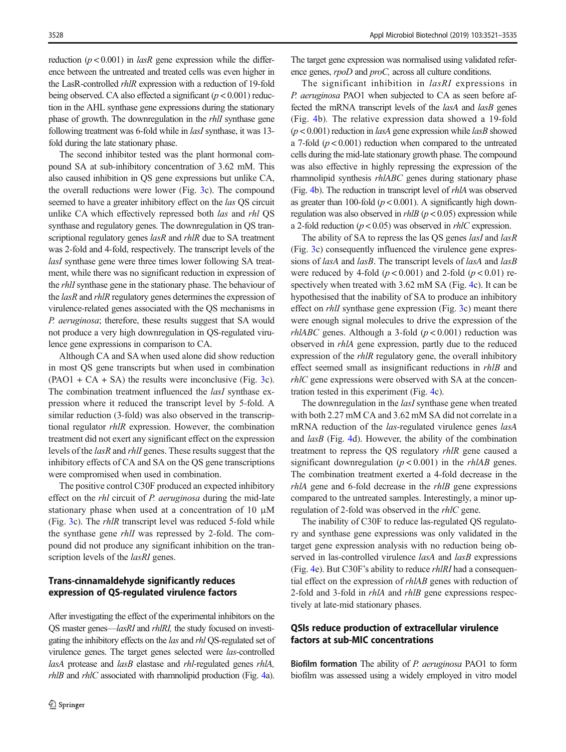reduction ( $p < 0.001$ ) in las R gene expression while the difference between the untreated and treated cells was even higher in the LasR-controlled rhlR expression with a reduction of 19-fold being observed. CA also effected a significant ( $p < 0.001$ ) reduction in the AHL synthase gene expressions during the stationary phase of growth. The downregulation in the *rhlI* synthase gene following treatment was 6-fold while in *lasI* synthase, it was 13fold during the late stationary phase.

The second inhibitor tested was the plant hormonal compound SA at sub-inhibitory concentration of 3.62 mM. This also caused inhibition in QS gene expressions but unlike CA, the overall reductions were lower (Fig. [3c](#page-6-0)). The compound seemed to have a greater inhibitory effect on the *las* QS circuit unlike CA which effectively repressed both las and rhl QS synthase and regulatory genes. The downregulation in QS transcriptional regulatory genes lasR and rhlR due to SA treatment was 2-fold and 4-fold, respectively. The transcript levels of the lasI synthase gene were three times lower following SA treatment, while there was no significant reduction in expression of the rhlI synthase gene in the stationary phase. The behaviour of the lasR and rhlR regulatory genes determines the expression of virulence-related genes associated with the QS mechanisms in P. aeruginosa; therefore, these results suggest that SA would not produce a very high downregulation in QS-regulated virulence gene expressions in comparison to CA.

Although CA and SA when used alone did show reduction in most QS gene transcripts but when used in combination  $(PAO1 + CA + SA)$  the results were inconclusive (Fig. [3](#page-6-0)c). The combination treatment influenced the *lasI* synthase expression where it reduced the transcript level by 5-fold. A similar reduction (3-fold) was also observed in the transcriptional regulator rhlR expression. However, the combination treatment did not exert any significant effect on the expression levels of the *lasR* and *rhII* genes. These results suggest that the inhibitory effects of CA and SA on the QS gene transcriptions were compromised when used in combination.

The positive control C30F produced an expected inhibitory effect on the *rhl* circuit of *P. aeruginosa* during the mid-late stationary phase when used at a concentration of 10 μM (Fig. [3](#page-6-0)c). The rhlR transcript level was reduced 5-fold while the synthase gene rhlI was repressed by 2-fold. The compound did not produce any significant inhibition on the transcription levels of the *lasRI* genes.

## Trans-cinnamaldehyde significantly reduces expression of QS-regulated virulence factors

After investigating the effect of the experimental inhibitors on the QS master genes—lasRI and rhlRI, the study focused on investigating the inhibitory effects on the las and rhl QS-regulated set of virulence genes. The target genes selected were las-controlled lasA protease and lasB elastase and rhl-regulated genes rhlA, rhlB and rhlC associated with rhamnolipid production (Fig. [4a](#page-8-0)).

The target gene expression was normalised using validated reference genes, rpoD and proC, across all culture conditions.

The significant inhibition in *lasRI* expressions in P. aeruginosa PAO1 when subjected to CA as seen before affected the mRNA transcript levels of the *lasA* and *lasB* genes (Fig. [4b](#page-8-0)). The relative expression data showed a 19-fold  $(p < 0.001)$  reduction in *lasA* gene expression while *lasB* showed a 7-fold  $(p < 0.001)$  reduction when compared to the untreated cells during the mid-late stationary growth phase. The compound was also effective in highly repressing the expression of the rhamnolipid synthesis rhlABC genes during stationary phase (Fig. [4b](#page-8-0)). The reduction in transcript level of rhlA was observed as greater than 100-fold ( $p < 0.001$ ). A significantly high downregulation was also observed in  $rh$  ( $p$  < 0.05) expression while a 2-fold reduction ( $p < 0.05$ ) was observed in *rhlC* expression.

The ability of SA to repress the las QS genes *lasI* and *lasR* (Fig. [3c](#page-6-0)) consequently influenced the virulence gene expressions of lasA and lasB. The transcript levels of lasA and lasB were reduced by 4-fold  $(p < 0.001)$  and 2-fold  $(p < 0.01)$  respectively when treated with 3.62 mM SA (Fig. [4c](#page-8-0)). It can be hypothesised that the inability of SA to produce an inhibitory effect on rhlI synthase gene expression (Fig. [3](#page-6-0)c) meant there were enough signal molecules to drive the expression of the *rhlABC* genes. Although a 3-fold ( $p < 0.001$ ) reduction was observed in rhlA gene expression, partly due to the reduced expression of the *rhlR* regulatory gene, the overall inhibitory effect seemed small as insignificant reductions in *rhlB* and rhlC gene expressions were observed with SA at the concentration tested in this experiment (Fig. [4c](#page-8-0)).

The downregulation in the *lasI* synthase gene when treated with both 2.27 mM CA and 3.62 mM SA did not correlate in a mRNA reduction of the las-regulated virulence genes lasA and lasB (Fig. [4](#page-8-0)d). However, the ability of the combination treatment to repress the QS regulatory rhlR gene caused a significant downregulation  $(p < 0.001)$  in the *rhlAB* genes. The combination treatment exerted a 4-fold decrease in the rhlA gene and 6-fold decrease in the rhlB gene expressions compared to the untreated samples. Interestingly, a minor upregulation of 2-fold was observed in the rhlC gene.

The inability of C30F to reduce las-regulated QS regulatory and synthase gene expressions was only validated in the target gene expression analysis with no reduction being observed in las-controlled virulence *lasA* and *lasB* expressions (Fig. [4e](#page-8-0)). But C30F's ability to reduce rhlRI had a consequential effect on the expression of *rhlAB* genes with reduction of 2-fold and 3-fold in *rhlA* and *rhlB* gene expressions respectively at late-mid stationary phases.

## QSIs reduce production of extracellular virulence factors at sub-MIC concentrations

Biofilm formation The ability of P. aeruginosa PAO1 to form biofilm was assessed using a widely employed in vitro model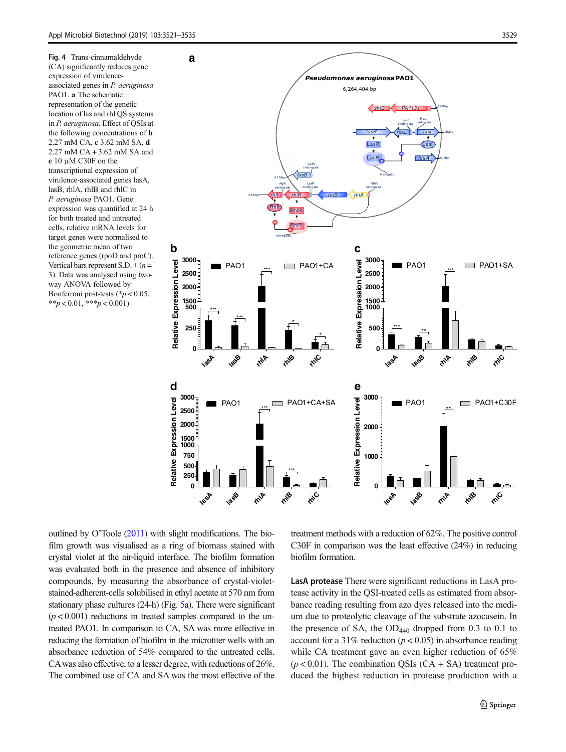<span id="page-8-0"></span>Fig. 4 Trans-cinnamaldehyde (CA) significantly reduces gene expression of virulenceassociated genes in P. aeruginosa PAO1. a The schematic representation of the genetic location of las and rhl QS systems in P. aeruginosa. Effect of QSIs at the following concentrations of b 2.27 mM CA, c 3.62 mM SA, d 2.27 mM CA + 3.62 mM SA and e 10 μM C30F on the transcriptional expression of virulence-associated genes lasA, lasB, rhlA, rhlB and rhlC in P. aeruginosa PAO1. Gene expression was quantified at 24 h for both treated and untreated cells, relative mRNA levels for target genes were normalised to the geometric mean of two reference genes (rpoD and proC). Vertical bars represent S.D.  $\pm (n =$ 3). Data was analysed using twoway ANOVA followed by Bonferroni post-tests ( $p < 0.05$ ,  $**p < 0.01$ ,  $***p < 0.001$ )



outlined by O'Toole ([2011\)](#page-13-0) with slight modifications. The biofilm growth was visualised as a ring of biomass stained with crystal violet at the air-liquid interface. The biofilm formation was evaluated both in the presence and absence of inhibitory compounds, by measuring the absorbance of crystal-violetstained-adherent-cells solubilised in ethyl acetate at 570 nm from stationary phase cultures (24-h) (Fig. [5](#page-9-0)a). There were significant  $(p < 0.001)$  reductions in treated samples compared to the untreated PAO1. In comparison to CA, SA was more effective in reducing the formation of biofilm in the microtiter wells with an absorbance reduction of 54% compared to the untreated cells. CAwas also effective, to a lesser degree, with reductions of 26%. The combined use of CA and SA was the most effective of the treatment methods with a reduction of 62%. The positive control C30F in comparison was the least effective (24%) in reducing biofilm formation.

LasA protease There were significant reductions in LasA protease activity in the QSI-treated cells as estimated from absorbance reading resulting from azo dyes released into the medium due to proteolytic cleavage of the substrate azocasein. In the presence of SA, the  $OD_{440}$  dropped from 0.3 to 0.1 to account for a 31% reduction ( $p < 0.05$ ) in absorbance reading while CA treatment gave an even higher reduction of 65%  $(p < 0.01)$ . The combination QSIs (CA + SA) treatment produced the highest reduction in protease production with a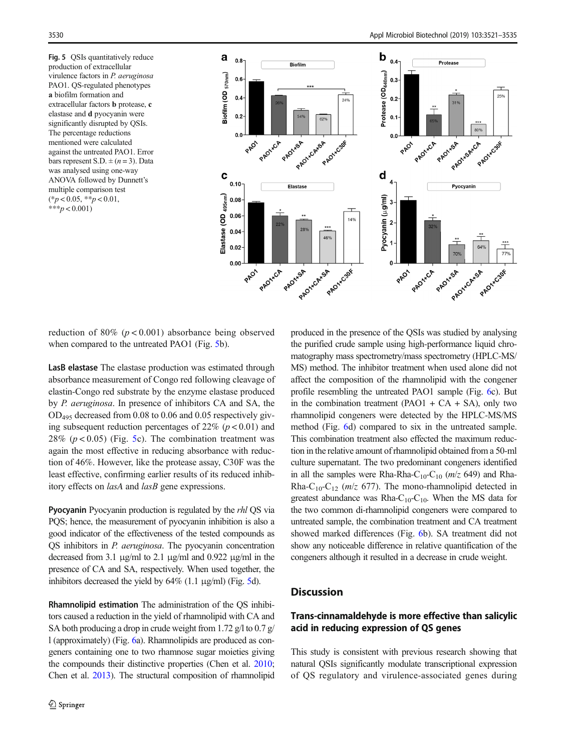<span id="page-9-0"></span>Fig. 5 QSIs quantitatively reduce production of extracellular virulence factors in P. aeruginosa PAO1. QS-regulated phenotypes a biofilm formation and extracellular factors b protease, c elastase and d pyocyanin were significantly disrupted by QSIs. The percentage reductions mentioned were calculated against the untreated PAO1. Error bars represent S.D.  $\pm (n=3)$ . Data was analysed using one-way ANOVA followed by Dunnett's multiple comparison test  $(*p < 0.05, **p < 0.01,$  $***p<0.001$ )



reduction of 80% ( $p < 0.001$ ) absorbance being observed when compared to the untreated PAO1 (Fig. 5b).

LasB elastase The elastase production was estimated through absorbance measurement of Congo red following cleavage of elastin-Congo red substrate by the enzyme elastase produced by P. aeruginosa. In presence of inhibitors CA and SA, the OD495 decreased from 0.08 to 0.06 and 0.05 respectively giving subsequent reduction percentages of  $22\%$  ( $p < 0.01$ ) and 28% ( $p < 0.05$ ) (Fig. 5c). The combination treatment was again the most effective in reducing absorbance with reduction of 46%. However, like the protease assay, C30F was the least effective, confirming earlier results of its reduced inhibitory effects on *lasA* and *lasB* gene expressions.

Pyocyanin Pyocyanin production is regulated by the *rhl* QS via PQS; hence, the measurement of pyocyanin inhibition is also a good indicator of the effectiveness of the tested compounds as QS inhibitors in P. aeruginosa. The pyocyanin concentration decreased from 3.1 μg/ml to 2.1 μg/ml and 0.922 μg/ml in the presence of CA and SA, respectively. When used together, the inhibitors decreased the yield by  $64\%$  (1.1  $\mu$ g/ml) (Fig. 5d).

Rhamnolipid estimation The administration of the QS inhibitors caused a reduction in the yield of rhamnolipid with CA and SA both producing a drop in crude weight from 1.72 g/l to 0.7 g/ l (approximately) (Fig. [6](#page-10-0)a). Rhamnolipids are produced as congeners containing one to two rhamnose sugar moieties giving the compounds their distinctive properties (Chen et al. [2010](#page-12-0); Chen et al. [2013](#page-12-0)). The structural composition of rhamnolipid produced in the presence of the QSIs was studied by analysing the purified crude sample using high-performance liquid chromatography mass spectrometry/mass spectrometry (HPLC-MS/ MS) method. The inhibitor treatment when used alone did not affect the composition of the rhamnolipid with the congener profile resembling the untreated PAO1 sample (Fig. [6](#page-10-0)c). But in the combination treatment (PAO1 +  $CA + SA$ ), only two rhamnolipid congeners were detected by the HPLC-MS/MS method (Fig. [6d](#page-10-0)) compared to six in the untreated sample. This combination treatment also effected the maximum reduction in the relative amount of rhamnolipid obtained from a 50-ml culture supernatant. The two predominant congeners identified in all the samples were Rha-Rha-C<sub>10</sub>-C<sub>10</sub> ( $m/z$  649) and Rha-Rha-C<sub>10</sub>-C<sub>12</sub> ( $m/z$  677). The mono-rhamnolipid detected in greatest abundance was  $Rha-C_{10}-C_{10}$ . When the MS data for the two common di-rhamnolipid congeners were compared to untreated sample, the combination treatment and CA treatment showed marked differences (Fig. [6](#page-10-0)b). SA treatment did not show any noticeable difference in relative quantification of the congeners although it resulted in a decrease in crude weight.

# **Discussion**

# Trans-cinnamaldehyde is more effective than salicylic acid in reducing expression of QS genes

This study is consistent with previous research showing that natural QSIs significantly modulate transcriptional expression of QS regulatory and virulence-associated genes during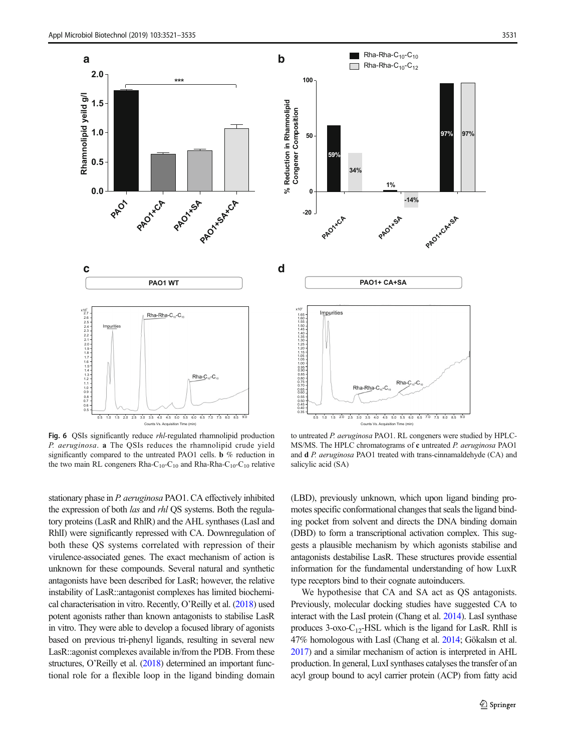<span id="page-10-0"></span>

Fig. 6 QSIs significantly reduce rhl-regulated rhamnolipid production P. aeruginosa. a The QSIs reduces the rhamnolipid crude yield significantly compared to the untreated PAO1 cells. b % reduction in the two main RL congeners Rha-C<sub>10</sub>-C<sub>10</sub> and Rha-Rha-C<sub>10</sub>-C<sub>10</sub> relative

stationary phase in P. aeruginosa PAO1. CA effectively inhibited the expression of both las and rhl QS systems. Both the regulatory proteins (LasR and RhlR) and the AHL synthases (LasI and RhlI) were significantly repressed with CA. Downregulation of both these QS systems correlated with repression of their virulence-associated genes. The exact mechanism of action is unknown for these compounds. Several natural and synthetic antagonists have been described for LasR; however, the relative instability of LasR::antagonist complexes has limited biochemical characterisation in vitro. Recently, O'Reilly et al. [\(2018\)](#page-13-0) used potent agonists rather than known antagonists to stabilise LasR in vitro. They were able to develop a focused library of agonists based on previous tri-phenyl ligands, resulting in several new LasR::agonist complexes available in/from the PDB. From these structures, O'Reilly et al. [\(2018](#page-13-0)) determined an important functional role for a flexible loop in the ligand binding domain (LBD), previously unknown, which upon ligand binding promotes specific conformational changes that seals the ligand binding pocket from solvent and directs the DNA binding domain (DBD) to form a transcriptional activation complex. This suggests a plausible mechanism by which agonists stabilise and antagonists destabilise LasR. These structures provide essential information for the fundamental understanding of how LuxR type receptors bind to their cognate autoinducers.

MS/MS. The HPLC chromatograms of c untreated P. aeruginosa PAO1 and **d** P. aeruginosa PAO1 treated with trans-cinnamaldehyde (CA) and

salicylic acid (SA)

We hypothesise that CA and SA act as QS antagonists. Previously, molecular docking studies have suggested CA to interact with the LasI protein (Chang et al. [2014\)](#page-12-0). LasI synthase produces  $3$ -oxo-C<sub>12</sub>-HSL which is the ligand for LasR. RhlI is 47% homologous with LasI (Chang et al. [2014](#page-12-0); Gökalsın et al. [2017\)](#page-13-0) and a similar mechanism of action is interpreted in AHL production. In general, LuxI synthases catalyses the transfer of an acyl group bound to acyl carrier protein (ACP) from fatty acid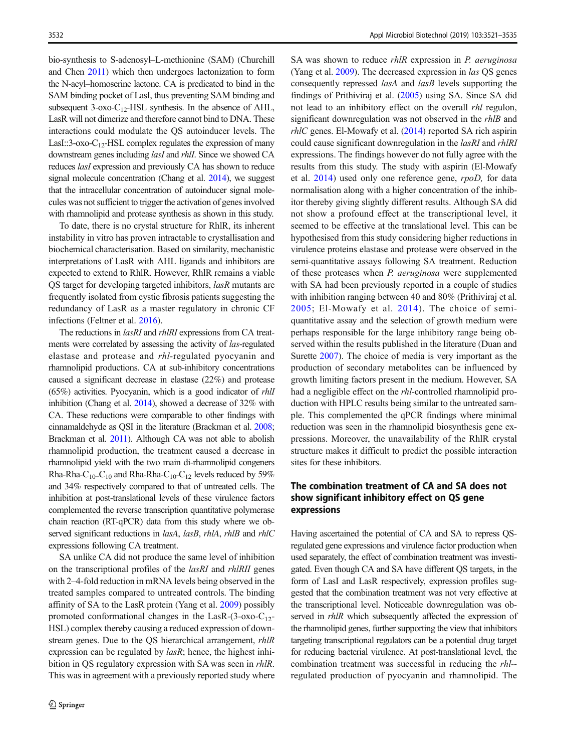bio-synthesis to S-adenosyl–L-methionine (SAM) (Churchill and Chen [2011](#page-12-0)) which then undergoes lactonization to form the N-acyl–homoserine lactone. CA is predicated to bind in the SAM binding pocket of LasI, thus preventing SAM binding and subsequent  $3$ -oxo-C<sub>12</sub>-HSL synthesis. In the absence of AHL, LasR will not dimerize and therefore cannot bind to DNA. These interactions could modulate the QS autoinducer levels. The LasI::3-oxo-C<sub>12</sub>-HSL complex regulates the expression of many downstream genes including lasI and rhlI. Since we showed CA reduces lasI expression and previously CA has shown to reduce signal molecule concentration (Chang et al. [2014](#page-12-0)), we suggest that the intracellular concentration of autoinducer signal molecules was not sufficient to trigger the activation of genes involved with rhamnolipid and protease synthesis as shown in this study.

To date, there is no crystal structure for RhlR, its inherent instability in vitro has proven intractable to crystallisation and biochemical characterisation. Based on similarity, mechanistic interpretations of LasR with AHL ligands and inhibitors are expected to extend to RhlR. However, RhlR remains a viable QS target for developing targeted inhibitors, lasR mutants are frequently isolated from cystic fibrosis patients suggesting the redundancy of LasR as a master regulatory in chronic CF infections (Feltner et al. [2016\)](#page-12-0).

The reductions in *lasRI* and *rhIRI* expressions from CA treatments were correlated by assessing the activity of las-regulated elastase and protease and rhl-regulated pyocyanin and rhamnolipid productions. CA at sub-inhibitory concentrations caused a significant decrease in elastase (22%) and protease (65%) activities. Pyocyanin, which is a good indicator of rhlI inhibition (Chang et al. [2014](#page-12-0)), showed a decrease of 32% with CA. These reductions were comparable to other findings with cinnamaldehyde as QSI in the literature (Brackman et al. [2008](#page-12-0); Brackman et al. [2011](#page-12-0)). Although CA was not able to abolish rhamnolipid production, the treatment caused a decrease in rhamnolipid yield with the two main di-rhamnolipid congeners Rha-Rha-C<sub>10</sub>-C<sub>10</sub> and Rha-Rha-C<sub>10</sub>-C<sub>12</sub> levels reduced by 59% and 34% respectively compared to that of untreated cells. The inhibition at post-translational levels of these virulence factors complemented the reverse transcription quantitative polymerase chain reaction (RT-qPCR) data from this study where we observed significant reductions in lasA, lasB, rhlA, rhlB and rhlC expressions following CA treatment.

SA unlike CA did not produce the same level of inhibition on the transcriptional profiles of the lasRI and rhlRII genes with 2–4-fold reduction in mRNA levels being observed in the treated samples compared to untreated controls. The binding affinity of SA to the LasR protein (Yang et al. [2009](#page-14-0)) possibly promoted conformational changes in the LasR- $(3$ -oxo-C<sub>12</sub>-HSL) complex thereby causing a reduced expression of downstream genes. Due to the QS hierarchical arrangement, rhlR expression can be regulated by *lasR*; hence, the highest inhibition in QS regulatory expression with SA was seen in rhlR. This was in agreement with a previously reported study where SA was shown to reduce *rhlR* expression in *P. aeruginosa* (Yang et al. [2009\)](#page-14-0). The decreased expression in las QS genes consequently repressed *lasA* and *lasB* levels supporting the findings of Prithiviraj et al. ([2005](#page-13-0)) using SA. Since SA did not lead to an inhibitory effect on the overall rhl regulon, significant downregulation was not observed in the *rhlB* and rhlC genes. El-Mowafy et al. [\(2014\)](#page-12-0) reported SA rich aspirin could cause significant downregulation in the lasRI and rhlRI expressions. The findings however do not fully agree with the results from this study. The study with aspirin (El-Mowafy et al. [2014\)](#page-12-0) used only one reference gene, rpoD, for data normalisation along with a higher concentration of the inhibitor thereby giving slightly different results. Although SA did not show a profound effect at the transcriptional level, it seemed to be effective at the translational level. This can be hypothesised from this study considering higher reductions in virulence proteins elastase and protease were observed in the semi-quantitative assays following SA treatment. Reduction of these proteases when P. aeruginosa were supplemented with SA had been previously reported in a couple of studies with inhibition ranging between 40 and 80% (Prithiviraj et al. [2005](#page-13-0); El-Mowafy et al. [2014\)](#page-12-0). The choice of semiquantitative assay and the selection of growth medium were perhaps responsible for the large inhibitory range being observed within the results published in the literature (Duan and Surette [2007](#page-12-0)). The choice of media is very important as the production of secondary metabolites can be influenced by growth limiting factors present in the medium. However, SA had a negligible effect on the *rhl*-controlled rhamnolipid production with HPLC results being similar to the untreated sample. This complemented the qPCR findings where minimal reduction was seen in the rhamnolipid biosynthesis gene expressions. Moreover, the unavailability of the RhlR crystal structure makes it difficult to predict the possible interaction sites for these inhibitors.

## The combination treatment of CA and SA does not show significant inhibitory effect on QS gene expressions

Having ascertained the potential of CA and SA to repress QSregulated gene expressions and virulence factor production when used separately, the effect of combination treatment was investigated. Even though CA and SA have different QS targets, in the form of LasI and LasR respectively, expression profiles suggested that the combination treatment was not very effective at the transcriptional level. Noticeable downregulation was observed in *rhlR* which subsequently affected the expression of the rhamnolipid genes, further supporting the view that inhibitors targeting transcriptional regulators can be a potential drug target for reducing bacterial virulence. At post-translational level, the combination treatment was successful in reducing the rhl- regulated production of pyocyanin and rhamnolipid. The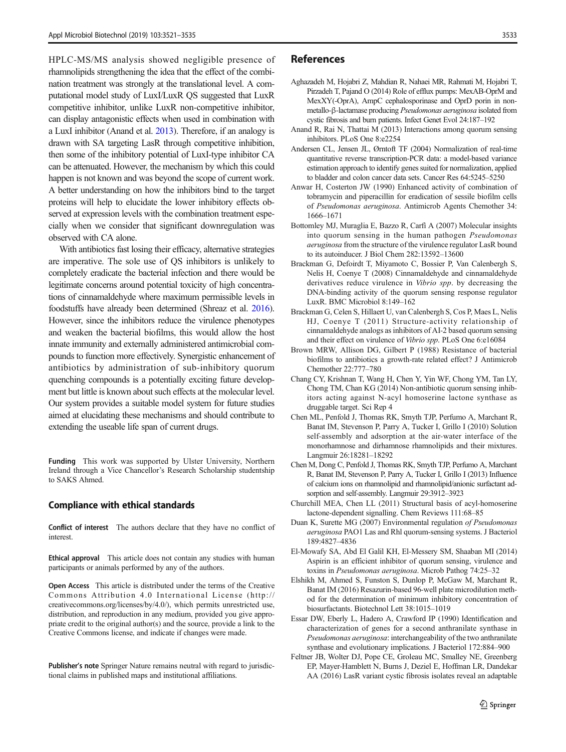<span id="page-12-0"></span>HPLC-MS/MS analysis showed negligible presence of rhamnolipids strengthening the idea that the effect of the combination treatment was strongly at the translational level. A computational model study of LuxI/LuxR QS suggested that LuxR competitive inhibitor, unlike LuxR non-competitive inhibitor, can display antagonistic effects when used in combination with a LuxI inhibitor (Anand et al. 2013). Therefore, if an analogy is drawn with SA targeting LasR through competitive inhibition, then some of the inhibitory potential of LuxI-type inhibitor CA can be attenuated. However, the mechanism by which this could happen is not known and was beyond the scope of current work. A better understanding on how the inhibitors bind to the target proteins will help to elucidate the lower inhibitory effects observed at expression levels with the combination treatment especially when we consider that significant downregulation was observed with CA alone.

With antibiotics fast losing their efficacy, alternative strategies are imperative. The sole use of QS inhibitors is unlikely to completely eradicate the bacterial infection and there would be legitimate concerns around potential toxicity of high concentrations of cinnamaldehyde where maximum permissible levels in foodstuffs have already been determined (Shreaz et al. [2016\)](#page-13-0). However, since the inhibitors reduce the virulence phenotypes and weaken the bacterial biofilms, this would allow the host innate immunity and externally administered antimicrobial compounds to function more effectively. Synergistic enhancement of antibiotics by administration of sub-inhibitory quorum quenching compounds is a potentially exciting future development but little is known about such effects at the molecular level. Our system provides a suitable model system for future studies aimed at elucidating these mechanisms and should contribute to extending the useable life span of current drugs.

Funding This work was supported by Ulster University, Northern Ireland through a Vice Chancellor's Research Scholarship studentship to SAKS Ahmed.

#### Compliance with ethical standards

Conflict of interest The authors declare that they have no conflict of interest.

Ethical approval This article does not contain any studies with human participants or animals performed by any of the authors.

Open Access This article is distributed under the terms of the Creative Commons Attribution 4.0 International License (http:// creativecommons.org/licenses/by/4.0/), which permits unrestricted use, distribution, and reproduction in any medium, provided you give appropriate credit to the original author(s) and the source, provide a link to the Creative Commons license, and indicate if changes were made.

Publisher's note Springer Nature remains neutral with regard to jurisdictional claims in published maps and institutional affiliations.

## References

- Aghazadeh M, Hojabri Z, Mahdian R, Nahaei MR, Rahmati M, Hojabri T, Pirzadeh T, Pajand O (2014) Role of efflux pumps: MexAB-OprM and MexXY(-OprA), AmpC cephalosporinase and OprD porin in nonmetallo-β-lactamase producing Pseudomonas aeruginosa isolated from cystic fibrosis and burn patients. Infect Genet Evol 24:187–192
- Anand R, Rai N, Thattai M (2013) Interactions among quorum sensing inhibitors. PLoS One 8:e2254
- Andersen CL, Jensen JL, Ørntoft TF (2004) Normalization of real-time quantitative reverse transcription-PCR data: a model-based variance estimation approach to identify genes suited for normalization, applied to bladder and colon cancer data sets. Cancer Res 64:5245–5250
- Anwar H, Costerton JW (1990) Enhanced activity of combination of tobramycin and piperacillin for eradication of sessile biofilm cells of Pseudomonas aeruginosa. Antimicrob Agents Chemother 34: 1666–1671
- Bottomley MJ, Muraglia E, Bazzo R, Carfì A (2007) Molecular insights into quorum sensing in the human pathogen Pseudomonas aeruginosa from the structure of the virulence regulator LasR bound to its autoinducer. J Biol Chem 282:13592–13600
- Brackman G, Defoirdt T, Miyamoto C, Bossier P, Van Calenbergh S, Nelis H, Coenye T (2008) Cinnamaldehyde and cinnamaldehyde derivatives reduce virulence in Vibrio spp. by decreasing the DNA-binding activity of the quorum sensing response regulator LuxR. BMC Microbiol 8:149–162
- Brackman G, Celen S, Hillaert U, van Calenbergh S, Cos P, Maes L, Nelis HJ, Coenye T (2011) Structure-activity relationship of cinnamaldehyde analogs as inhibitors of AI-2 based quorum sensing and their effect on virulence of Vibrio spp. PLoS One 6:e16084
- Brown MRW, Allison DG, Gilbert P (1988) Resistance of bacterial biofilms to antibiotics a growth-rate related effect? J Antimicrob Chemother 22:777–780
- Chang CY, Krishnan T, Wang H, Chen Y, Yin WF, Chong YM, Tan LY, Chong TM, Chan KG (2014) Non-antibiotic quorum sensing inhibitors acting against N-acyl homoserine lactone synthase as druggable target. Sci Rep 4
- Chen ML, Penfold J, Thomas RK, Smyth TJP, Perfumo A, Marchant R, Banat IM, Stevenson P, Parry A, Tucker I, Grillo I (2010) Solution self-assembly and adsorption at the air-water interface of the monorhamnose and dirhamnose rhamnolipids and their mixtures. Langmuir 26:18281–18292
- Chen M, Dong C, Penfold J, Thomas RK, Smyth TJP, Perfumo A, Marchant R, Banat IM, Stevenson P, Parry A, Tucker I, Grillo I (2013) Influence of calcium ions on rhamnolipid and rhamnolipid/anionic surfactant adsorption and self-assembly. Langmuir 29:3912–3923
- Churchill MEA, Chen LL (2011) Structural basis of acyl-homoserine lactone-dependent signalling. Chem Reviews 111:68–85
- Duan K, Surette MG (2007) Environmental regulation of Pseudomonas aeruginosa PAO1 Las and Rhl quorum-sensing systems. J Bacteriol 189:4827–4836
- El-Mowafy SA, Abd El Galil KH, El-Messery SM, Shaaban MI (2014) Aspirin is an efficient inhibitor of quorum sensing, virulence and toxins in Pseudomonas aeruginosa. Microb Pathog 74:25–32
- Elshikh M, Ahmed S, Funston S, Dunlop P, McGaw M, Marchant R, Banat IM (2016) Resazurin-based 96-well plate microdilution method for the determination of minimum inhibitory concentration of biosurfactants. Biotechnol Lett 38:1015–1019
- Essar DW, Eberly L, Hadero A, Crawford IP (1990) Identification and characterization of genes for a second anthranilate synthase in Pseudomonas aeruginosa: interchangeability of the two anthranilate synthase and evolutionary implications. J Bacteriol 172:884–900
- Feltner JB, Wolter DJ, Pope CE, Groleau MC, Smalley NE, Greenberg EP, Mayer-Hamblett N, Burns J, Deziel E, Hoffman LR, Dandekar AA (2016) LasR variant cystic fibrosis isolates reveal an adaptable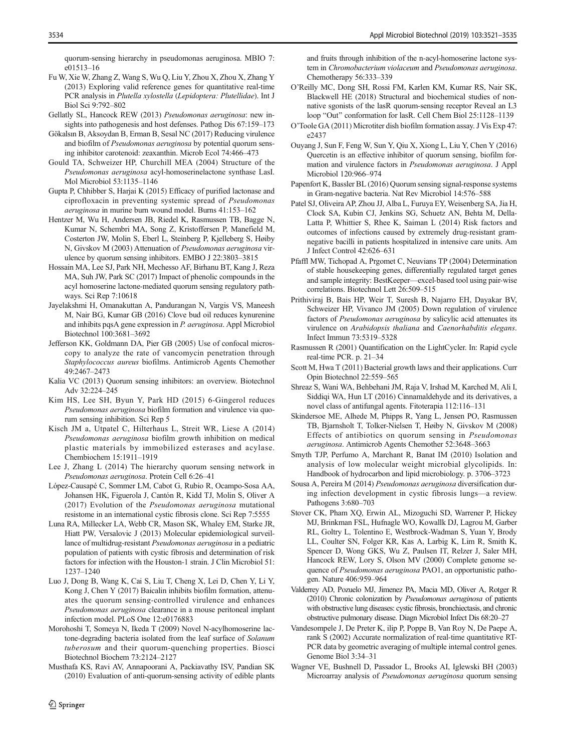<span id="page-13-0"></span>quorum-sensing hierarchy in pseudomonas aeruginosa. MBIO 7: e01513–16

- Fu W, Xie W, Zhang Z, Wang S, Wu Q, Liu Y, Zhou X, Zhou X, Zhang Y (2013) Exploring valid reference genes for quantitative real-time PCR analysis in Plutella xylostella (Lepidoptera: Plutellidae). Int J Biol Sci 9:792–802
- Gellatly SL, Hancock REW (2013) Pseudomonas aeruginosa: new insights into pathogenesis and host defenses. Pathog Dis 67:159–173
- Gökalsın B, Aksoydan B, Erman B, Sesal NC (2017) Reducing virulence and biofilm of Pseudomonas aeruginosa by potential quorum sensing inhibitor carotenoid: zeaxanthin. Microb Ecol 74:466–473
- Gould TA, Schweizer HP, Churchill MEA (2004) Structure of the Pseudomonas aeruginosa acyl-homoserinelactone synthase LasI. Mol Microbiol 53:1135–1146
- Gupta P, Chhibber S, Harjai K (2015) Efficacy of purified lactonase and ciprofloxacin in preventing systemic spread of Pseudomonas aeruginosa in murine burn wound model. Burns 41:153–162
- Hentzer M, Wu H, Andersen JB, Riedel K, Rasmussen TB, Bagge N, Kumar N, Schembri MA, Song Z, Kristoffersen P, Manefield M, Costerton JW, Molin S, Eberl L, Steinberg P, Kjelleberg S, Høiby N, Givskov M (2003) Attenuation of Pseudomonas aeruginosa virulence by quorum sensing inhibitors. EMBO J 22:3803–3815
- Hossain MA, Lee SJ, Park NH, Mechesso AF, Birhanu BT, Kang J, Reza MA, Suh JW, Park SC (2017) Impact of phenolic compounds in the acyl homoserine lactone-mediated quorum sensing regulatory pathways. Sci Rep 7:10618
- Jayelakshmi H, Omanakuttan A, Pandurangan N, Vargis VS, Maneesh M, Nair BG, Kumar GB (2016) Clove bud oil reduces kynurenine and inhibits pqsA gene expression in P. aeruginosa. Appl Microbiol Biotechnol 100:3681–3692
- Jefferson KK, Goldmann DA, Pier GB (2005) Use of confocal microscopy to analyze the rate of vancomycin penetration through Staphylococcus aureus biofilms. Antimicrob Agents Chemother 49:2467–2473
- Kalia VC (2013) Quorum sensing inhibitors: an overview. Biotechnol Adv 32:224–245
- Kim HS, Lee SH, Byun Y, Park HD (2015) 6-Gingerol reduces Pseudomonas aeruginosa biofilm formation and virulence via quorum sensing inhibition. Sci Rep 5
- Kisch JM a, Utpatel C, Hilterhaus L, Streit WR, Liese A (2014) Pseudomonas aeruginosa biofilm growth inhibition on medical plastic materials by immobilized esterases and acylase. Chembiochem 15:1911–1919
- Lee J, Zhang L (2014) The hierarchy quorum sensing network in Pseudomonas aeruginosa. Protein Cell 6:26–41
- López-Causapé C, Sommer LM, Cabot G, Rubio R, Ocampo-Sosa AA, Johansen HK, Figuerola J, Cantón R, Kidd TJ, Molin S, Oliver A (2017) Evolution of the Pseudomonas aeruginosa mutational resistome in an international cystic fibrosis clone. Sci Rep 7:5555
- Luna RA, Millecker LA, Webb CR, Mason SK, Whaley EM, Starke JR, Hiatt PW, Versalovic J (2013) Molecular epidemiological surveillance of multidrug-resistant Pseudomonas aeruginosa in a pediatric population of patients with cystic fibrosis and determination of risk factors for infection with the Houston-1 strain. J Clin Microbiol 51: 1237–1240
- Luo J, Dong B, Wang K, Cai S, Liu T, Cheng X, Lei D, Chen Y, Li Y, Kong J, Chen Y (2017) Baicalin inhibits biofilm formation, attenuates the quorum sensing-controlled virulence and enhances Pseudomonas aeruginosa clearance in a mouse peritoneal implant infection model. PLoS One 12:e0176883
- Morohoshi T, Someya N, Ikeda T (2009) Novel N-acylhomoserine lactone-degrading bacteria isolated from the leaf surface of Solanum tuberosum and their quorum-quenching properties. Biosci Biotechnol Biochem 73:2124–2127
- Musthafa KS, Ravi AV, Annapoorani A, Packiavathy ISV, Pandian SK (2010) Evaluation of anti-quorum-sensing activity of edible plants

 $\hat{Z}$  Springer

and fruits through inhibition of the n-acyl-homoserine lactone system in Chromobacterium violaceum and Pseudomonas aeruginosa. Chemotherapy 56:333–339

- O'Reilly MC, Dong SH, Rossi FM, Karlen KM, Kumar RS, Nair SK, Blackwell HE (2018) Structural and biochemical studies of nonnative sgonists of the lasR quorum-sensing receptor Reveal an L3 loop "Out" conformation for lasR. Cell Chem Biol 25:1128–1139
- O'Toole GA (2011) Microtiter dish biofilm formation assay. J Vis Exp 47: e2437
- Ouyang J, Sun F, Feng W, Sun Y, Qiu X, Xiong L, Liu Y, Chen Y (2016) Quercetin is an effective inhibitor of quorum sensing, biofilm formation and virulence factors in Pseudomonas aeruginosa. J Appl Microbiol 120:966–974
- Papenfort K, Bassler BL (2016) Quorum sensing signal-response systems in Gram-negative bacteria. Nat Rev Microbiol 14:576–588
- Patel SJ, Oliveira AP, Zhou JJ, Alba L, Furuya EY, Weisenberg SA, Jia H, Clock SA, Kubin CJ, Jenkins SG, Schuetz AN, Behta M, Della-Latta P, Whittier S, Rhee K, Saiman L (2014) Risk factors and outcomes of infections caused by extremely drug-resistant gramnegative bacilli in patients hospitalized in intensive care units. Am J Infect Control 42:626–631
- Pfaffl MW, Tichopad A, Prgomet C, Neuvians TP (2004) Determination of stable housekeeping genes, differentially regulated target genes and sample integrity: BestKeeper—excel-based tool using pair-wise correlations. Biotechnol Lett 26:509–515
- Prithiviraj B, Bais HP, Weir T, Suresh B, Najarro EH, Dayakar BV, Schweizer HP, Vivanco JM (2005) Down regulation of virulence factors of Pseudomonas aeruginosa by salicylic acid attenuates its virulence on Arabidopsis thaliana and Caenorhabditis elegans. Infect Immun 73:5319–5328
- Rasmussen R (2001) Quantification on the LightCycler. In: Rapid cycle real-time PCR. p. 21–34
- Scott M, Hwa T (2011) Bacterial growth laws and their applications. Curr Opin Biotechnol 22:559–565
- Shreaz S, Wani WA, Behbehani JM, Raja V, Irshad M, Karched M, Ali I, Siddiqi WA, Hun LT (2016) Cinnamaldehyde and its derivatives, a novel class of antifungal agents. Fitoterapia 112:116–131
- Skindersoe ME, Alhede M, Phipps R, Yang L, Jensen PO, Rasmussen TB, Bjarnsholt T, Tolker-Nielsen T, Høiby N, Givskov M (2008) Effects of antibiotics on quorum sensing in Pseudomonas aeruginosa. Antimicrob Agents Chemother 52:3648–3663
- Smyth TJP, Perfumo A, Marchant R, Banat IM (2010) Isolation and analysis of low molecular weight microbial glycolipids. In: Handbook of hydrocarbon and lipid microbiology. p. 3706–3723
- Sousa A, Pereira M (2014) Pseudomonas aeruginosa diversification during infection development in cystic fibrosis lungs—a review. Pathogens 3:680–703
- Stover CK, Pham XQ, Erwin AL, Mizoguchi SD, Warrener P, Hickey MJ, Brinkman FSL, Hufnagle WO, Kowallk DJ, Lagrou M, Garber RL, Goltry L, Tolentino E, Westbrock-Wadman S, Yuan Y, Brody LL, Coulter SN, Folger KR, Kas A, Larbig K, Lim R, Smith K, Spencer D, Wong GKS, Wu Z, Paulsen IT, Relzer J, Saler MH, Hancock REW, Lory S, Olson MV (2000) Complete genome sequence of Pseudomonas aeruginosa PAO1, an opportunistic pathogen. Nature 406:959–964
- Valderrey AD, Pozuelo MJ, Jimenez PA, Macia MD, Oliver A, Rotger R (2010) Chronic colonization by Pseudomonas aeruginosa of patients with obstructive lung diseases: cystic fibrosis, bronchiectasis, and chronic obstructive pulmonary disease. Diagn Microbiol Infect Dis 68:20–27
- Vandesompele J, De Preter K, ilip P, Poppe B, Van Roy N, De Paepe A, rank S (2002) Accurate normalization of real-time quantitative RT-PCR data by geometric averaging of multiple internal control genes. Genome Biol 3:34–31
- Wagner VE, Bushnell D, Passador L, Brooks AI, Iglewski BH (2003) Microarray analysis of Pseudomonas aeruginosa quorum sensing